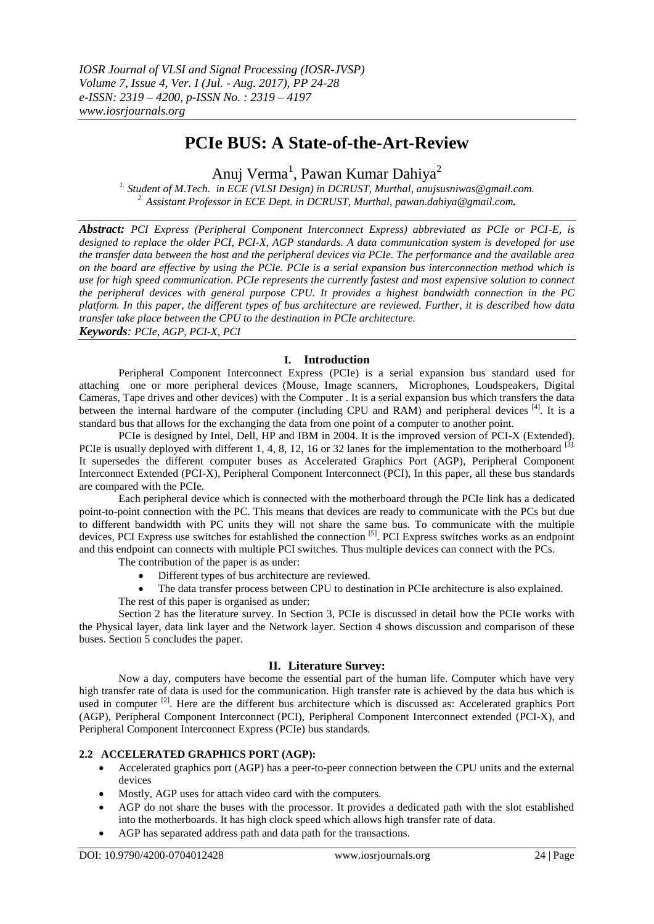# **PCIe BUS: A State-of-the-Art-Review**

Anuj Verma<sup>1</sup>, Pawan Kumar Dahiya<sup>2</sup>

*1. Student of M.Tech. in ECE (VLSI Design) in DCRUST, Murthal, anujsusniwas@gmail.com. 2. Assistant Professor in ECE Dept. in DCRUST, Murthal, [pawan.dahiya@gmail.com](mailto:pawan.dahiya@gmail.com).*

*Abstract: PCI Express (Peripheral Component Interconnect Express) abbreviated as PCIe or PCI-E, is designed to replace the older PCI, PCI-X, AGP standards. A data communication system is developed for use the transfer data between the host and the peripheral devices via PCIe. The performance and the available area on the board are effective by using the PCIe. PCIe is a serial expansion bus interconnection method which is use for high speed communication. PCIe represents the currently fastest and most expensive solution to connect the peripheral devices with general purpose CPU. It provides a highest bandwidth connection in the PC platform. In this paper, the different types of bus architecture are reviewed. Further, it is described how data transfer take place between the CPU to the destination in PCIe architecture. Keywords: PCIe, AGP, PCI-X, PCI*

#### **I. Introduction**

Peripheral Component Interconnect Express (PCIe) is a serial expansion bus standard used for attaching one or more peripheral devices (Mouse, Image scanners, Microphones, Loudspeakers, Digital Cameras, Tape drives and other devices) with the Computer . It is a serial expansion bus which transfers the data between the internal hardware of the computer (including CPU and RAM) and peripheral devices [4]. It is a standard bus that allows for the exchanging the data from one point of a computer to another point.

PCIe is designed by Intel, Dell, HP and IBM in 2004. It is the improved version of PCI-X (Extended). PCIe is usually deployed with different 1, 4, 8, 12, 16 or 32 lanes for the implementation to the motherboard <sup>[3].</sup> It supersedes the different computer buses as Accelerated Graphics Port (AGP), Peripheral Component Interconnect Extended (PCI-X), Peripheral Component Interconnect (PCI), In this paper, all these bus standards are compared with the PCIe.

Each peripheral device which is connected with the motherboard through the PCIe link has a dedicated point-to-point connection with the PC. This means that devices are ready to communicate with the PCs but due to different bandwidth with PC units they will not share the same bus. To communicate with the multiple devices, PCI Express use switches for established the connection [5]. PCI Express switches works as an endpoint and this endpoint can connects with multiple PCI switches. Thus multiple devices can connect with the PCs.

The contribution of the paper is as under:

- Different types of bus architecture are reviewed.
- The data transfer process between CPU to destination in PCIe architecture is also explained. The rest of this paper is organised as under:

Section 2 has the literature survey. In Section 3, PCIe is discussed in detail how the PCIe works with the Physical layer, data link layer and the Network layer. Section 4 shows discussion and comparison of these buses. Section 5 concludes the paper.

## **II. Literature Survey:**

Now a day, computers have become the essential part of the human life. Computer which have very high transfer rate of data is used for the communication. High transfer rate is achieved by the data bus which is used in computer <sup>[2]</sup>. Here are the different bus architecture which is discussed as: Accelerated graphics Port (AGP), Peripheral Component Interconnect [\(PCI\)](https://en.wikipedia.org/wiki/Conventional_PCI), Peripheral Component Interconnect extended [\(PCI-X\)](https://en.wikipedia.org/wiki/PCI-X), and Peripheral Component Interconnect Express (PCIe) bus standards.

## **2.2 ACCELERATED GRAPHICS PORT (AGP):**

- Accelerated graphics port (AGP) has a peer-to-peer connection between the CPU units and the external devices
- Mostly, AGP uses for attach video card with the computers.
- AGP do not share the buses with the processor. It provides a dedicated path with the slot established into the motherboards. It has high clock speed which allows high transfer rate of data.
- AGP has separated address path and data path for the transactions.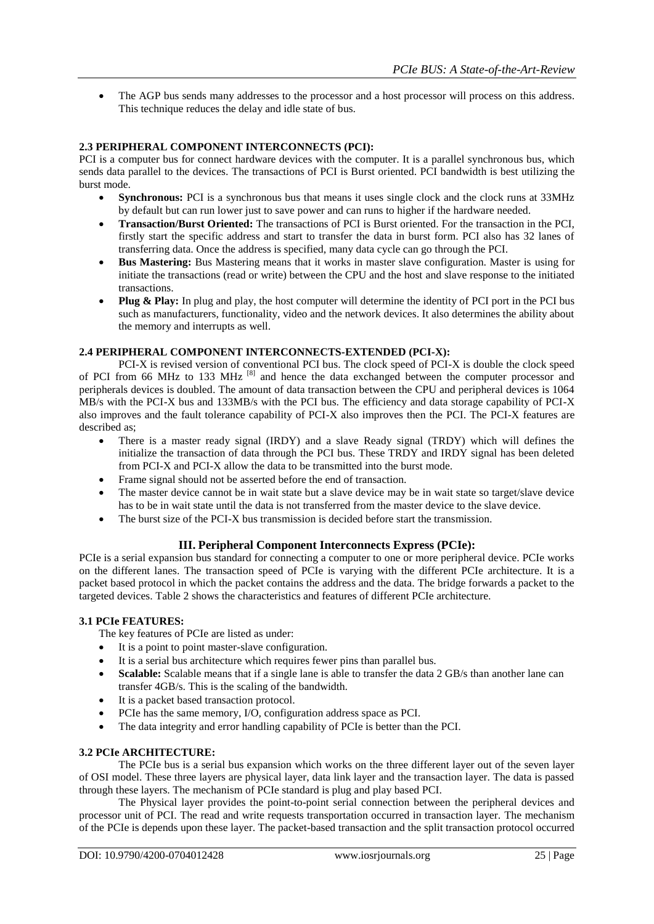• The AGP bus sends many addresses to the processor and a host processor will process on this address. This technique reduces the delay and idle state of bus.

#### **2.3 PERIPHERAL COMPONENT INTERCONNECTS (PCI):**

PCI is a computer bus for connect hardware devices with the computer. It is a parallel synchronous bus, which sends data parallel to the devices. The transactions of PCI is Burst oriented. PCI bandwidth is best utilizing the burst mode.

- **Synchronous:** PCI is a synchronous bus that means it uses single clock and the clock runs at 33MHz by default but can run lower just to save power and can runs to higher if the hardware needed.
- **Transaction/Burst Oriented:** The transactions of PCI is Burst oriented. For the transaction in the PCI, firstly start the specific address and start to transfer the data in burst form. PCI also has 32 lanes of transferring data. Once the address is specified, many data cycle can go through the PCI.
- **Bus Mastering:** Bus Mastering means that it works in master slave configuration. Master is using for initiate the transactions (read or write) between the CPU and the host and slave response to the initiated transactions.
- Plug & Play: In plug and play, the host computer will determine the identity of PCI port in the PCI bus such as manufacturers, functionality, video and the network devices. It also determines the ability about the memory and interrupts as well.

#### **2.4 PERIPHERAL COMPONENT INTERCONNECTS-EXTENDED (PCI-X):**

PCI-X is revised version of conventional PCI bus. The clock speed of PCI-X is double the clock speed of PCI from 66 MHz to 133 MHz <sup>[8]</sup> and hence the data exchanged between the computer processor and peripherals devices is doubled. The amount of data transaction between the CPU and peripheral devices is 1064 MB/s with the PCI-X bus and 133MB/s with the PCI bus. The efficiency and data storage capability of PCI-X also improves and the fault tolerance capability of PCI-X also improves then the PCI. The PCI-X features are described as;

- There is a master ready signal (IRDY) and a slave Ready signal (TRDY) which will defines the initialize the transaction of data through the PCI bus. These TRDY and IRDY signal has been deleted from PCI-X and PCI-X allow the data to be transmitted into the burst mode.
- Frame signal should not be asserted before the end of transaction.
- The master device cannot be in wait state but a slave device may be in wait state so target/slave device has to be in wait state until the data is not transferred from the master device to the slave device.
- The burst size of the PCI-X bus transmission is decided before start the transmission.

## **III. Peripheral Component Interconnects Express (PCIe):**

PCIe is a serial expansion bus standard for connecting a computer to one or more peripheral device. PCIe works on the different lanes. The transaction speed of PCIe is varying with the different PCIe architecture. It is a packet based protocol in which the packet contains the address and the data. The bridge forwards a packet to the targeted devices. Table 2 shows the characteristics and features of different PCIe architecture.

#### **3.1 PCIe FEATURES:**

The key features of PCIe are listed as under:

- It is a point to point master-slave configuration.
- It is a serial bus architecture which requires fewer pins than parallel bus.
- **Scalable:** Scalable means that if a single lane is able to transfer the data 2 GB/s than another lane can transfer 4GB/s. This is the scaling of the bandwidth.
- It is a packet based transaction protocol.
- PCIe has the same memory, I/O, configuration address space as PCI.
- The data integrity and error handling capability of PCIe is better than the PCI.

#### **3.2 PCIe ARCHITECTURE:**

The PCIe bus is a serial bus expansion which works on the three different layer out of the seven layer of OSI model. These three layers are physical layer, data link layer and the transaction layer. The data is passed through these layers. The mechanism of PCIe standard is plug and play based PCI.

The Physical layer provides the point-to-point serial connection between the peripheral devices and processor unit of PCI. The read and write requests transportation occurred in transaction layer. The mechanism of the PCIe is depends upon these layer. The packet-based transaction and the split transaction protocol occurred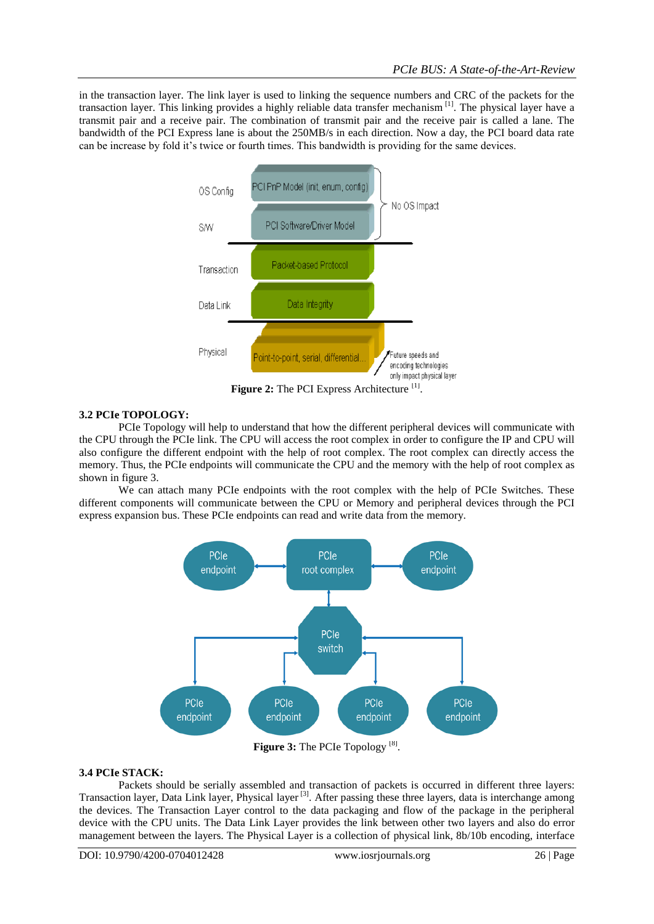in the transaction layer. The link layer is used to linking the sequence numbers and CRC of the packets for the transaction layer. This linking provides a highly reliable data transfer mechanism [1]. The physical layer have a transmit pair and a receive pair. The combination of transmit pair and the receive pair is called a lane. The bandwidth of the PCI Express lane is about the 250MB/s in each direction. Now a day, the PCI board data rate can be increase by fold it's twice or fourth times. This bandwidth is providing for the same devices.



Figure 2: The PCI Express Architecture<sup>[1]</sup>.

## **3.2 PCIe TOPOLOGY:**

PCIe Topology will help to understand that how the different peripheral devices will communicate with the CPU through the PCIe link. The CPU will access the root complex in order to configure the IP and CPU will also configure the different endpoint with the help of root complex. The root complex can directly access the memory. Thus, the PCIe endpoints will communicate the CPU and the memory with the help of root complex as shown in figure 3.

We can attach many PCIe endpoints with the root complex with the help of PCIe Switches. These different components will communicate between the CPU or Memory and peripheral devices through the PCI express expansion bus. These PCIe endpoints can read and write data from the memory.



Figure 3: The PCIe Topology<sup>[8]</sup>.

## **3.4 PCIe STACK:**

Packets should be serially assembled and transaction of packets is occurred in different three layers: Transaction layer, Data Link layer, Physical layer [3]. After passing these three layers, data is interchange among the devices. The Transaction Layer control to the data packaging and flow of the package in the peripheral device with the CPU units. The Data Link Layer provides the link between other two layers and also do error management between the layers. The Physical Layer is a collection of physical link, 8b/10b encoding, interface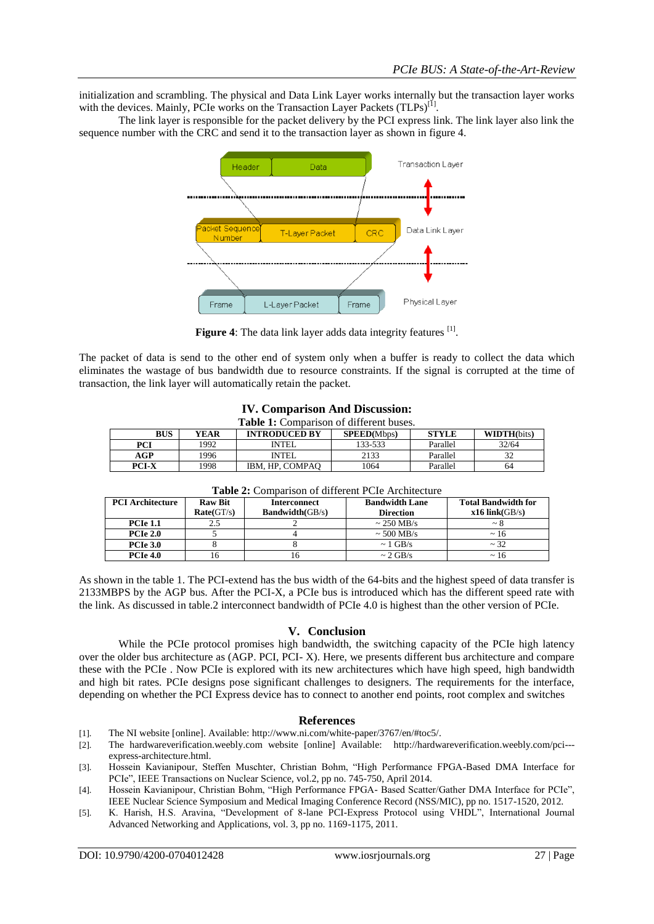initialization and scrambling. The physical and Data Link Layer works internally but the transaction layer works with the devices. Mainly, PCIe works on the Transaction Layer Packets (TLPs)<sup>[1]</sup>.

The link layer is responsible for the packet delivery by the PCI express link. The link layer also link the sequence number with the CRC and send it to the transaction layer as shown in figure 4.



Figure 4: The data link layer adds data integrity features [1].

The packet of data is send to the other end of system only when a buffer is ready to collect the data which eliminates the wastage of bus bandwidth due to resource constraints. If the signal is corrupted at the time of transaction, the link layer will automatically retain the packet.

|  |  | <b>IV. Comparison And Discussion:</b> |
|--|--|---------------------------------------|
|--|--|---------------------------------------|

| Table 1: Comparison of different buses. |  |
|-----------------------------------------|--|
|                                         |  |

| <b>BUS</b> | YEAR | <b>INTRODUCED BY</b> | <b>SPEED</b> (Mbps) | <b>STYLE</b> | <b>WIDTH(bits)</b> |
|------------|------|----------------------|---------------------|--------------|--------------------|
| PCI        | 1992 | <b>INTEL</b>         | 133-533             | Parallel     | 32/64              |
| AGP        | 1996 | <b>INTEL</b>         | 2133                | Parallel     | $\sim$<br>ے ر      |
| PCI-X      | 1998 | IBM. HP. COMPAO      | 1064                | Parallel     | 64                 |

| <b>PCI</b> Architecture | <b>Raw Bit</b> | <b>Interconnect</b> | <b>Bandwidth Lane</b> | <b>Total Bandwidth for</b> |
|-------------------------|----------------|---------------------|-----------------------|----------------------------|
|                         | Rate(GT/s)     | Bandwidth(GB/s)     | <b>Direction</b>      | $x16$ link(GB/s)           |
| <b>PCIe 1.1</b>         | 2.5            |                     | $\sim$ 250 MB/s       | $\sim$ X                   |
| <b>PCIe 2.0</b>         |                |                     | $\sim$ 500 MB/s       | $~\sim 16$                 |
| <b>PCIe 3.0</b>         |                |                     | $\sim$ 1 GB/s         | ~1.32                      |
| <b>PCIe 4.0</b>         | 16             | n                   | $\sim$ 2 GB/s         | $\sim$ 16                  |

| <b>Table 2:</b> Comparison of different PCIe Architecture |
|-----------------------------------------------------------|
|-----------------------------------------------------------|

As shown in the table 1. The PCI-extend has the bus width of the 64-bits and the highest speed of data transfer is 2133MBPS by the AGP bus. After the PCI-X, a PCIe bus is introduced which has the different speed rate with the link. As discussed in table.2 interconnect bandwidth of PCIe 4.0 is highest than the other version of PCIe.

#### **V. Conclusion**

While the PCIe protocol promises high bandwidth, the switching capacity of the PCIe high latency over the older bus architecture as (AGP. PCI, PCI- X). Here, we presents different bus architecture and compare these with the PCIe . Now PCIe is explored with its new architectures which have high speed, high bandwidth and high bit rates. PCIe designs pose significant challenges to designers. The requirements for the interface, depending on whether the PCI Express device has to connect to another end points, root complex and switches

#### **References**

- [1]. The NI website [online]. Available[: http://www.ni.com/white-paper/3767/en/#toc5/.](http://www.ni.com/white-paper/3767/en/#toc5/)
- [2]. The hardwareverification.weebly.com website [online] Available: [http://hardwareverification.weebly.com/pci--](http://hardwareverification.weebly.com/pci---express-architecture.html) [express-architecture.html.](http://hardwareverification.weebly.com/pci---express-architecture.html)
- [3]. Hossein Kavianipour, Steffen Muschter, Christian Bohm, "High Performance FPGA-Based DMA Interface for PCIe", IEEE Transactions on Nuclear Science, vol.2, pp no. 745-750, April 2014.
- [4]. Hossein Kavianipour, Christian Bohm, "High Performance FPGA- Based Scatter/Gather DMA Interface for PCIe", IEEE Nuclear Science Symposium and Medical Imaging Conference Record (NSS/MIC), pp no. 1517-1520, 2012.
- [5]. K. Harish, H.S. Aravina, "Development of 8-lane PCI-Express Protocol using VHDL", International Journal Advanced Networking and Applications, vol. 3, pp no. 1169-1175, 2011.